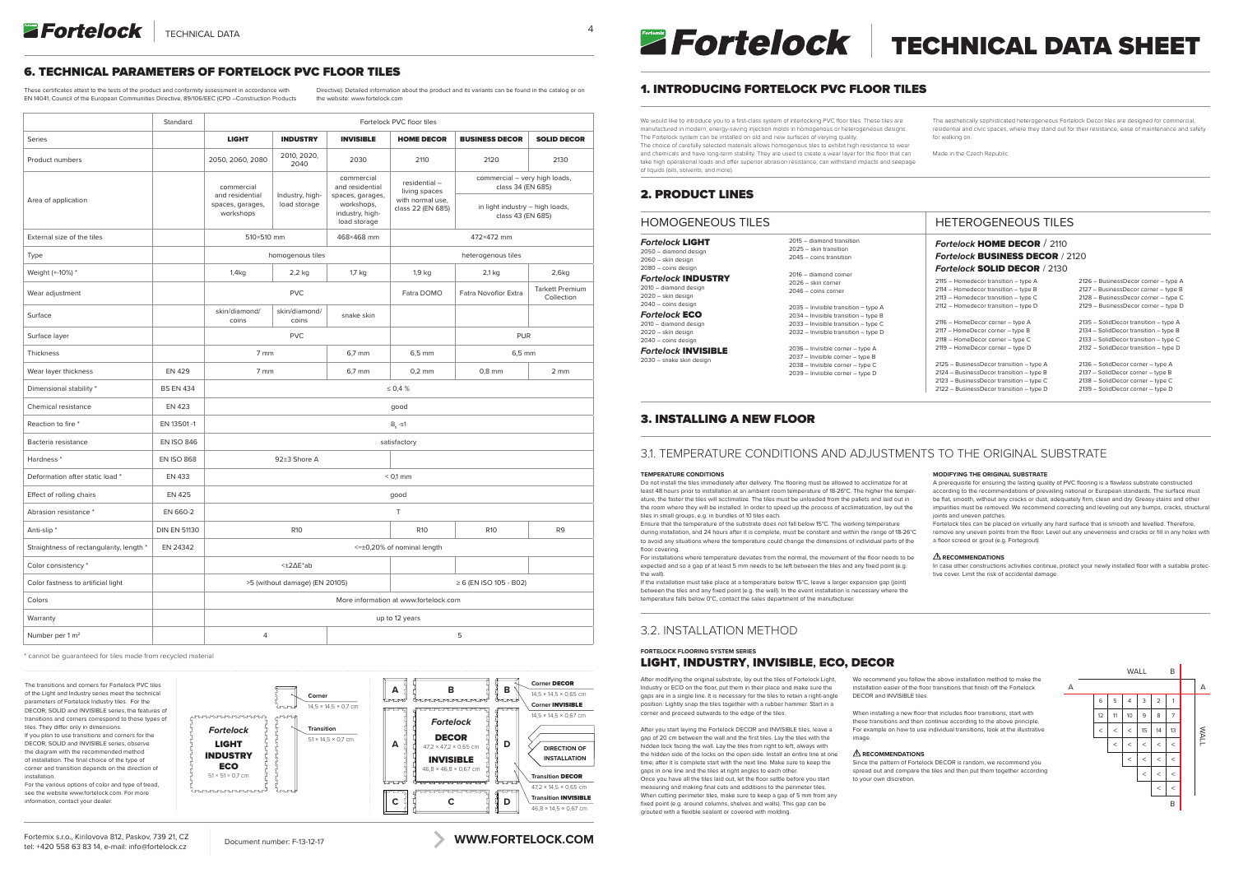

*Fortelock* ECO 2010 – diamond design 2020 – skin design

#### HOMOGENEOUS TILES *Fortelock* LIGHT 2050 – diamond design 2060 – skin design  $2080 - \text{coins}$  design *Fortelock* INDUSTRY 2010 – diamond design 2020 – skin design 2040 – coins design 2015 – diamond transition 2025 – skin transition 2045 – coins transition 2016 – diamond corner 2026 – skin corner 2046 – coins corner

2040 – coins design *Fortelock* INVISIBLE 2030 – snake skin design

2035 – Invisible transition – type A 2034 – Invisible transition – type B 2033 – Invisible transition – type C

2032 – Invisible transition – type D

2036 – Invisible corner – type A 2037 – Invisible corner – type B 2038 – Invisible corner – type C 2039 – Invisible corner – type D

| 2115 - Homedecor transition - type A     | 2126 - BusinessDecor corner - type A  |
|------------------------------------------|---------------------------------------|
| 2114 - Homedecor transition - type B     | 2127 - BusinessDecor corner - type B  |
| 2113 - Homedecor transition - type C     | 2128 - BusinessDecor corner - type C  |
| 2112 - Homedecor transition - type D     | 2129 - BusinessDecor corner - type D  |
| 2116 - HomeDecor corner - type A         | 2135 - SolidDecor transition - type A |
| 2117 - HomeDecor corner - type B         | 2134 - SolidDecor transition - type B |
| 2118 - HomeDecor corner - type C         | 2133 - SolidDecor transition - type C |
| 2119 - HomeDecor corner - type D         | 2132 - SolidDecor transition - type D |
| 2125 - BusinessDecor transition - type A | 2136 - SolidDecor corner - type A     |
| 2124 - BusinessDecor transition - type B | 2137 - SolidDecor corner - type B     |
| 2123 - BusinessDecor transition - type C | 2138 - SolidDecor corner - type C     |
| 2122 - BusinessDecor transition - type D | 2139 - SolidDecor corner - type D     |

### HETEROGENEOUS TILES

### *Fortelock* HOME DECOR / 2110 *Fortelock* BUSINESS DECOR / 2120 *Fortelock* SOLID DECOR / 2130

A prerequisite for ensuring the lasting quality of PVC flooring is a flawless substrate constructed according to the recommendations of prevailing national or European standards. The surface must be flat, smooth, without any cracks or dust, adequately firm, clean and dry. Greasy stains and other impurities must be removed. We recommend correcting and leveling out any bumps, cracks, structural joints and uneven patches.

We would like to introduce you to a first-class system of interlocking PVC floor tiles. These tiles are manufactured in modern, energy-saving injection molds in homogenous or heterogeneous designs. The Fortelock system can be installed on old and new surfaces of varying quality. The choice of carefully selected materials allows homogenous tiles to exhibit high resistance to wear and chemicals and have long-term stability. They are used to create a wear layer for the floor that can take high operational loads and offer superior abrasion resistance, can withstand impacts and seepage of liquids (oils, solvents, and more).

The aesthetically sophisticated heterogeneous Fortelock Decor tiles are designed for commercial, residential and civic spaces, where they stand out for their resistance, ease of maintenance and safety for walking on.

Made in the Czech Republic.

# 1. INTRODUCING FORTELOCK PVC FLOOR TILES

After modifying the original substrate, lay out the tiles of Fortelock Light Industry or ECO on the floor, put them in their place and make sure the gaps are in a single line. It is necessary for the tiles to retain a right-angle position. Lightly snap the tiles together with a rubber hammer. Start in a corner and proceed outwards to the edge of the tiles.

### 2. PRODUCT LINES

# 3. INSTALLING A NEW FLOOR

# 3.1. TEMPERATURE CONDITIONS AND ADJUSTMENTS TO THE ORIGINAL SUBSTRATE

### **TEMPERATURE CONDITIONS**

Do not install the tiles immediately after delivery. The flooring must be allowed to acclimatize for at least 48 hours prior to installation at an ambient room temperature of 18-26°C. The higher the temperature, the faster the tiles will acclimatize. The tiles must be unloaded from the pallets and laid out in the room where they will be installed. In order to speed up the process of acclimatization, lay out the tiles in small groups, e.g. in bundles of 10 tiles each.

Ensure that the temperature of the substrate does not fall below 15°C. The working temperature during installation, and 24 hours after it is complete, must be constant and within the range of 18-26°C to avoid any situations where the temperature could change the dimensions of individual parts of the floor covering.

For installations where temperature deviates from the normal, the movement of the floor needs to be expected and so a gap of at least 5 mm needs to be left between the tiles and any fixed point (e.g. the wall).

If the installation must take place at a temperature below 15°C, leave a larger expansion gap (joint) between the tiles and any fixed point (e.g. the wall). In the event installation is necessary where the temperature falls below 0°C, contact the sales department of the manufacturer.

### **MODIFYING THE ORIGINAL SUBSTRATE**

Fortelock tiles can be placed on virtually any hard surface that is smooth and levelled. Therefore, remove any uneven points from the floor. Level out any unevenness and cracks or fill in any holes with a floor screed or grout (e.g. Fortegrout).

#### **RECOMMENDATIONS**

In case other constructions activities continue, protect your newly installed floor with a suitable protective cover. Limit the risk of accidental damage.

**Transition** DECOR  $472 \times 145 \times 0.65$  cm **Transition** INVISIBLE  $46.8 \times 14.5 \times 0.67$  cm

# 3.2. INSTALLATION METHOD

### **FORTELOCK FLOORING SYSTEM SERIES**  LIGHT**,** INDUSTRY**,** INVISIBLE**,** ECO, DECOR

After you start laying the Fortelock DECOR and INVISIBLE tiles, leave a gap of 20 cm between the wall and the first tiles. Lay the tiles with the hidden lock facing the wall. Lay the tiles from right to left, always with the hidden side of the locks on the open side. Install an entire line at one time; after it is complete start with the next line. Make sure to keep the gaps in one line and the tiles at right angles to each other. Once you have all the tiles laid out, let the floor settle before you start measuring and making final cuts and additions to the perimeter tiles. When cutting perimeter tiles, make sure to keep a gap of 5 mm from any fixed point (e.g. around columns, shelves and walls). This gap can be grouted with a flexible sealant or covered with molding.

We recommend you follow the above installation method to make the installation easier of the floor transitions that finish off the Fortelock DECOR and INVISIBLE tiles. When installing a new floor that includes floor transitions, start with these transitions and then continue according to the above principle. For example on how to use individual transitions, look at the illustrative image.  **RECOMMENDATIONS** Since the pattern of Fortelock DECOR is random, we recommend you spread out and compare the tiles and then put them together according to your own discretion.  $\leq$ 3  $\leq$ 9  $\leq$ 15  $\leq$ 11 5  $\prec$  $\leq$  $\prec$  $\prec$  $\leq$ 7 13 1 12 6  $\leq$  $\leq$  $\prec$  $\prec$  $\leq$ 8 14 2 WALL B WALL A A  $\leq$ 4  $\prec$ 10  $\prec$ 

B

# 6. TECHNICAL PARAMETERS OF FORTELOCK PVC FLOOR TILES

These certificates attest to the tests of the product and conformity assessment in accordance with EN 14041, Council of the European Communities Directive, 89/106/EEC (CPD –Construction Products

Directive). Detailed information about the product and its variants can be found in the catalog or on the website: www.fortelock.com

|                                          | Standard            | Fortelock PVC floor tiles                                      |                                 |                                                                                                    |                                                                        |                                                                                                            |                                      |  |
|------------------------------------------|---------------------|----------------------------------------------------------------|---------------------------------|----------------------------------------------------------------------------------------------------|------------------------------------------------------------------------|------------------------------------------------------------------------------------------------------------|--------------------------------------|--|
| <b>Series</b>                            |                     | <b>LIGHT</b>                                                   | <b>INDUSTRY</b>                 | <b>INVISIBLE</b>                                                                                   | <b>HOME DECOR</b>                                                      | <b>BUSINESS DECOR</b>                                                                                      | <b>SOLID DECOR</b>                   |  |
| Product numbers                          |                     | 2050, 2060, 2080                                               | 2010, 2020,<br>2040             | 2030                                                                                               | 2110                                                                   | 2120                                                                                                       | 2130                                 |  |
| Area of application                      |                     | commercial<br>and residential<br>spaces, garages,<br>workshops | Industry, high-<br>load storage | commercial<br>and residential<br>spaces, garages,<br>workshops,<br>industry, high-<br>load storage | residential-<br>living spaces<br>with normal use,<br>class 22 (EN 685) | commercial - very high loads,<br>class 34 (EN 685)<br>in light industry - high loads,<br>class 43 (EN 685) |                                      |  |
| External size of the tiles               |                     | 510×510 mm<br>468×468 mm                                       |                                 |                                                                                                    | 472×472 mm                                                             |                                                                                                            |                                      |  |
| Type                                     |                     | homogenous tiles                                               |                                 |                                                                                                    | heterogenous tiles                                                     |                                                                                                            |                                      |  |
| Weight (+-10%) *                         |                     | $1,4$ kg                                                       | $2,2$ kg                        | $1,7$ kg                                                                                           | $1,9$ kg                                                               | $2,1$ kg                                                                                                   | 2,6kg                                |  |
| Wear adjustment                          |                     | <b>PVC</b>                                                     |                                 |                                                                                                    | Fatra DOMO                                                             | Fatra Novoflor Extra                                                                                       | <b>Tarkett Premium</b><br>Collection |  |
| Surface                                  |                     | skin/diamond/<br>coins                                         | skin/diamond/<br>coins          | snake skin                                                                                         |                                                                        |                                                                                                            |                                      |  |
| Surface layer                            |                     | <b>PVC</b>                                                     |                                 |                                                                                                    |                                                                        | <b>PUR</b>                                                                                                 |                                      |  |
| Thickness                                |                     | 7 <sub>mm</sub><br>6,7 mm                                      |                                 | 6,5 mm                                                                                             | $6,5$ mm                                                               |                                                                                                            |                                      |  |
| Wear layer thickness                     | <b>EN 429</b>       | 7 mm                                                           |                                 | 6,7 mm                                                                                             | $0,2$ mm                                                               | $0,8$ mm                                                                                                   | 2 <sub>mm</sub>                      |  |
| Dimensional stability *                  | <b>BS EN 434</b>    | $\leq 0.4 \%$                                                  |                                 |                                                                                                    |                                                                        |                                                                                                            |                                      |  |
| Chemical resistance                      | <b>EN 423</b>       | good                                                           |                                 |                                                                                                    |                                                                        |                                                                                                            |                                      |  |
| Reaction to fire *                       | EN 13501-1          | $Bf - S1$                                                      |                                 |                                                                                                    |                                                                        |                                                                                                            |                                      |  |
| Bacteria resistance                      | <b>EN ISO 846</b>   | satisfactory                                                   |                                 |                                                                                                    |                                                                        |                                                                                                            |                                      |  |
| Hardness <sup>*</sup>                    | <b>EN ISO 868</b>   | 92±3 Shore A                                                   |                                 |                                                                                                    |                                                                        |                                                                                                            |                                      |  |
| Deformation after static load *          | <b>EN 433</b>       | $< 0.1$ mm                                                     |                                 |                                                                                                    |                                                                        |                                                                                                            |                                      |  |
| Effect of rolling chairs                 | <b>EN 425</b>       | good                                                           |                                 |                                                                                                    |                                                                        |                                                                                                            |                                      |  |
| Abrasion resistance *                    | EN 660-2            | $\top$                                                         |                                 |                                                                                                    |                                                                        |                                                                                                            |                                      |  |
| Anti-slip <sup>*</sup>                   | <b>DIN EN 51130</b> | <b>R10</b>                                                     |                                 |                                                                                                    | <b>R10</b>                                                             | <b>R10</b>                                                                                                 | R <sub>9</sub>                       |  |
| Straightness of rectangularity, length * | EN 24342            | <= ±0,20% of nominal length                                    |                                 |                                                                                                    |                                                                        |                                                                                                            |                                      |  |
| Color consistency *                      |                     | <±2∆E*ab                                                       |                                 |                                                                                                    |                                                                        |                                                                                                            |                                      |  |
| Color fastness to artificial light       |                     | >5 (without damage) (EN 20105)                                 |                                 |                                                                                                    | $\geq 6$ (EN ISO 105 - B02)                                            |                                                                                                            |                                      |  |
| Colors                                   |                     | More information at www.fortelock.com                          |                                 |                                                                                                    |                                                                        |                                                                                                            |                                      |  |
| Warranty                                 |                     | up to 12 years                                                 |                                 |                                                                                                    |                                                                        |                                                                                                            |                                      |  |
| Number per 1 m <sup>2</sup>              |                     | $\overline{4}$                                                 |                                 |                                                                                                    | 5                                                                      |                                                                                                            |                                      |  |

\* cannot be guaranteed for tiles made from recycled material

The transitions and corners for Fortelock PVC tiles of the Light and Industry series meet the technical parameters of Fortelock Industry tiles. For the DECOR, SOLID and INVISIBLE series, the features of transitions and corners correspond to those types of tiles. They differ only in dimensions. If you plan to use transitions and corners for the DECOR, SOLID and INVISIBLE series, observe the diagram with the recommended method of installation. The final choice of the type of corner and transition depends on the direction of installation.

For the various options of color and type of tread, see the website www.fortelock.com. For more information, contact your dealer.

**A**

**B**

**B**

**D**

**D**

**Corner**



**Corner** DECOR

**Corner** INVISIBLE

**DIRECTION OF INSTALLATION**

14,5 × 14,5 × 0,67 cm

 $145 \times 145 \times 0.65$  cm